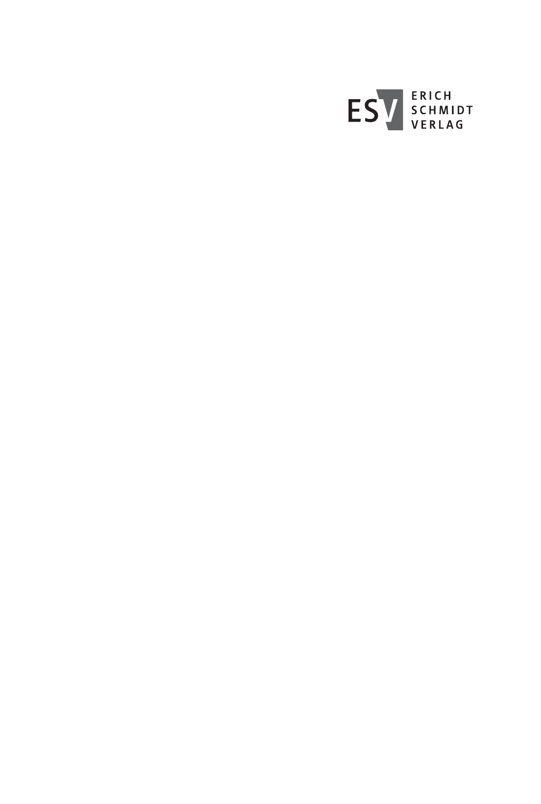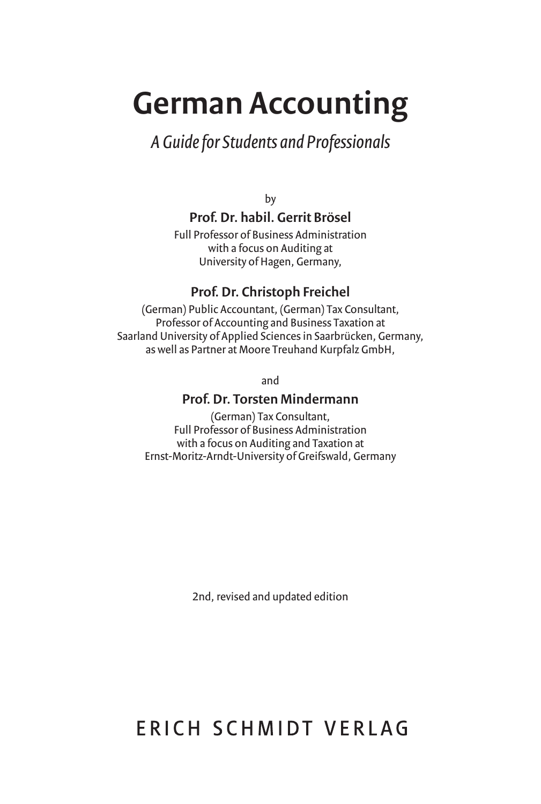# **German Accounting**

## *A Guide for Students and Professionals*

by

### **Prof. Dr. habil. Gerrit Brösel**

Full Professor of Business Administration with a focus on Auditing at University of Hagen, Germany,

### **Prof. Dr. Christoph Freichel**

(German) Public Accountant, (German) Tax Consultant, Professor of Accounting and Business Taxation at Saarland University of Applied Sciences in Saarbrücken, Germany, as well as Partner at Moore Treuhand Kurpfalz GmbH,

and

### **Prof. Dr. Torsten Mindermann**

(German) Tax Consultant, Full Professor of Business Administration with a focus on Auditing and Taxation at Ernst-Moritz-Arndt-University of Greifswald, Germany

2nd, revised and updated edition

# FRICH SCHMIDT VFRIAG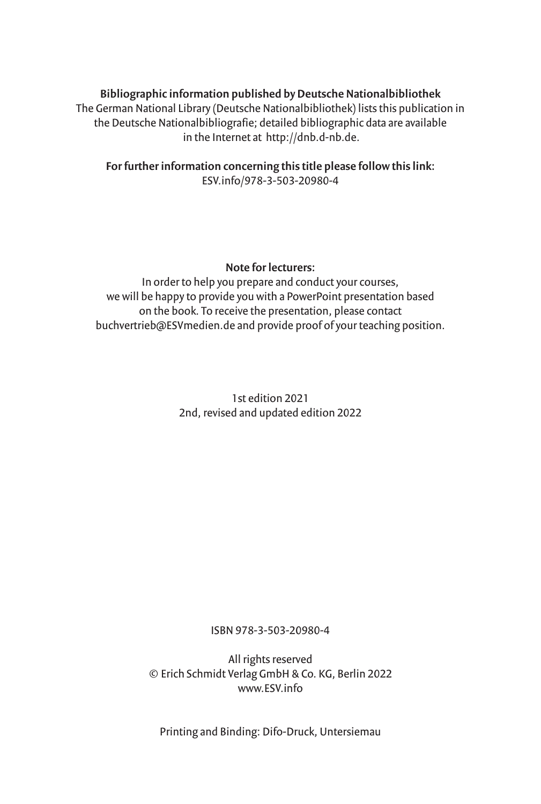### **Bibliographic information published by Deutsche Nationalbibliothek**

The German National Library (Deutsche Nationalbibliothek) lists this publication in the Deutsche Nationalbibliografie; detailed bibliographic data are available in the Internet at http://dnb.d-nb.de.

**For further information concerning this title please follow this link:** ESV.info/978-3-503-20980-4

#### **Note for lecturers:**

In order to help you prepare and conduct your courses, we will be happy to provide you with a PowerPoint presentation based on the book. To receive the presentation, please contact buchvertrieb@ESVmedien.de and provide proof of your teaching position.

> 1st edition 2021 2nd, revised and updated edition 2022

> > ISBN 978-3-503-20980-4

All rights reserved © Erich Schmidt Verlag GmbH & Co. KG, Berlin 2022 www.ESV.info

Printing and Binding: Difo-Druck, Untersiemau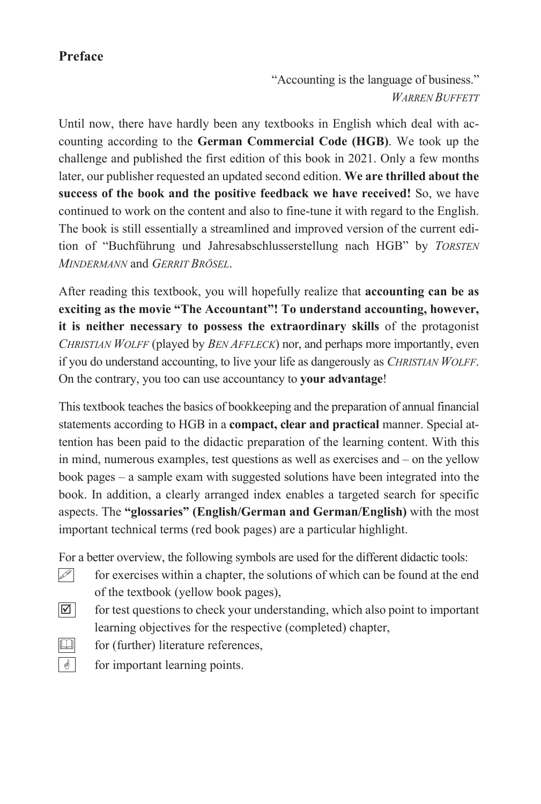### **Preface**

"Accounting is the language of business." *WARREN BUFFETT*

Until now, there have hardly been any textbooks in English which deal with accounting according to the **German Commercial Code (HGB)**. We took up the challenge and published the first edition of this book in 2021. Only a few months later, our publisher requested an updated second edition. **We are thrilled about the success of the book and the positive feedback we have received!** So, we have continued to work on the content and also to fine-tune it with regard to the English. The book is still essentially a streamlined and improved version of the current edition of "Buchführung und Jahresabschlusserstellung nach HGB" by *TORSTEN MINDERMANN* and *GERRIT BRÖSEL*.

After reading this textbook, you will hopefully realize that **accounting can be as exciting as the movie "The Accountant"! To understand accounting, however, it is neither necessary to possess the extraordinary skills** of the protagonist *CHRISTIAN WOLFF* (played by *BEN AFFLECK*) nor, and perhaps more importantly, even if you do understand accounting, to live your life as dangerously as *CHRISTIAN WOLFF*. On the contrary, you too can use accountancy to **your advantage**!

This textbook teaches the basics of bookkeeping and the preparation of annual financial statements according to HGB in a **compact, clear and practical** manner. Special attention has been paid to the didactic preparation of the learning content. With this in mind, numerous examples, test questions as well as exercises and – on the yellow book pages – a sample exam with suggested solutions have been integrated into the book. In addition, a clearly arranged index enables a targeted search for specific aspects. The **"glossaries" (English/German and German/English)** with the most important technical terms (red book pages) are a particular highlight.

For a better overview, the following symbols are used for the different didactic tools:

- $\mathscr{P}$  for exercises within a chapter, the solutions of which can be found at the end of the textbook (yellow book pages),
- $\vert\mathcal{A}\vert$  for test questions to check your understanding, which also point to important learning objectives for the respective (completed) chapter,
- $\Box$  for (further) literature references,
- 
- $\phi$  for important learning points.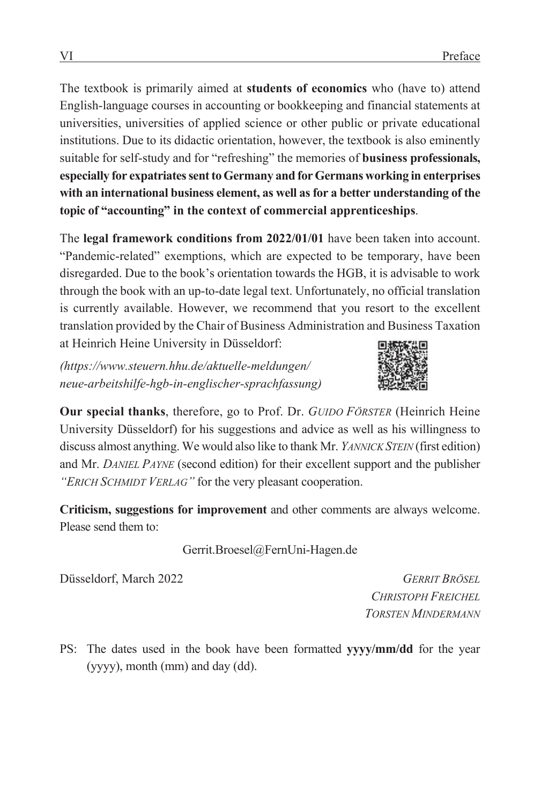The textbook is primarily aimed at **students of economics** who (have to) attend English-language courses in accounting or bookkeeping and financial statements at universities, universities of applied science or other public or private educational institutions. Due to its didactic orientation, however, the textbook is also eminently suitable for self-study and for "refreshing" the memories of **business professionals, especially for expatriates sent to Germany and for Germans working in enterprises with an international business element, as well as for a better understanding of the topic of "accounting" in the context of commercial apprenticeships**.

The **legal framework conditions from 2022/01/01** have been taken into account. "Pandemic-related" exemptions, which are expected to be temporary, have been disregarded. Due to the book's orientation towards the HGB, it is advisable to work through the book with an up-to-date legal text. Unfortunately, no official translation is currently available. However, we recommend that you resort to the excellent translation provided by the Chair of Business Administration and Business Taxation at Heinrich Heine University in Düsseldorf:

*(https://www.steuern.hhu.de/aktuelle-meldungen/ neue-arbeitshilfe-hgb-in-englischer-sprachfassung)* 



**Our special thanks**, therefore, go to Prof. Dr. *GUIDO FÖRSTER* (Heinrich Heine University Düsseldorf) for his suggestions and advice as well as his willingness to discuss almost anything. We would also like to thank Mr. *YANNICK STEIN* (first edition) and Mr. *DANIEL PAYNE* (second edition) for their excellent support and the publisher *"ERICH SCHMIDT VERLAG"* for the very pleasant cooperation.

**Criticism, suggestions for improvement** and other comments are always welcome. Please send them to:

Gerrit.Broesel@FernUni-Hagen.de

Düsseldorf, March 2022 *GERRIT BRÖSEL*

 *CHRISTOPH FREICHEL TORSTEN MINDERMANN*

PS: The dates used in the book have been formatted **yyyy/mm/dd** for the year (yyyy), month (mm) and day (dd).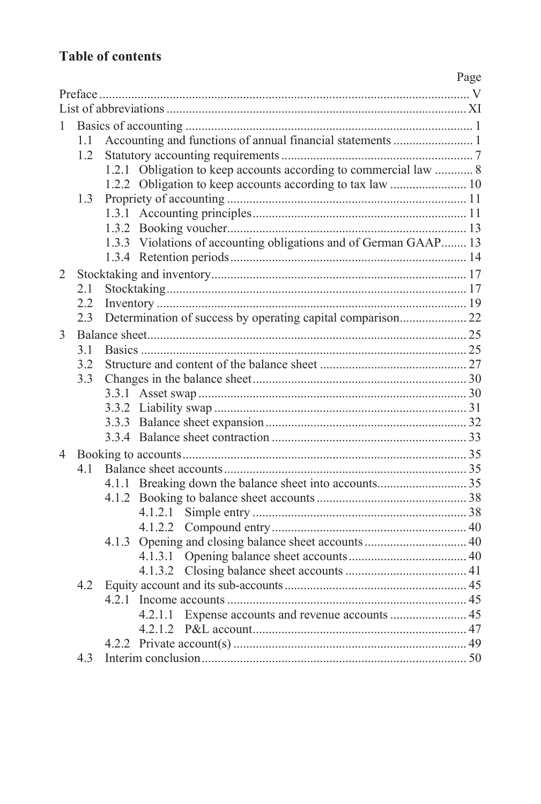### **Table of contents**

|                |               |       |                                                                  | Page |  |  |  |
|----------------|---------------|-------|------------------------------------------------------------------|------|--|--|--|
|                |               |       |                                                                  |      |  |  |  |
|                |               |       |                                                                  |      |  |  |  |
| 1              |               |       |                                                                  |      |  |  |  |
|                | $1.1 -$       |       | Accounting and functions of annual financial statements  1       |      |  |  |  |
|                | $1.2^{\circ}$ |       |                                                                  |      |  |  |  |
|                |               | 1.2.1 | Obligation to keep accounts according to commercial law  8       |      |  |  |  |
|                |               |       |                                                                  |      |  |  |  |
|                | 1.3           |       |                                                                  |      |  |  |  |
|                |               |       |                                                                  |      |  |  |  |
|                |               |       |                                                                  |      |  |  |  |
|                |               |       | 1.3.3 Violations of accounting obligations and of German GAAP 13 |      |  |  |  |
|                |               |       |                                                                  |      |  |  |  |
| $\overline{2}$ |               |       |                                                                  |      |  |  |  |
|                | 2.1           |       |                                                                  |      |  |  |  |
|                | 2.2           |       |                                                                  |      |  |  |  |
|                | 2.3           |       |                                                                  |      |  |  |  |
| 3              |               |       |                                                                  |      |  |  |  |
|                | 31            |       |                                                                  |      |  |  |  |
|                | 3.2           |       |                                                                  |      |  |  |  |
|                | 3.3           |       |                                                                  |      |  |  |  |
|                |               |       |                                                                  |      |  |  |  |
|                |               |       |                                                                  |      |  |  |  |
|                |               |       |                                                                  |      |  |  |  |
|                |               |       |                                                                  |      |  |  |  |
| 4              |               |       |                                                                  |      |  |  |  |
|                | 41            |       |                                                                  |      |  |  |  |
|                |               |       |                                                                  |      |  |  |  |
|                |               |       |                                                                  |      |  |  |  |
|                |               |       | 4.1.2.1                                                          |      |  |  |  |
|                |               |       | 4.1.2.2                                                          |      |  |  |  |
|                |               |       |                                                                  |      |  |  |  |
|                |               |       |                                                                  |      |  |  |  |
|                |               |       |                                                                  |      |  |  |  |
|                | 4.2           |       |                                                                  |      |  |  |  |
|                |               |       |                                                                  |      |  |  |  |
|                |               |       | 4.2.1.1                                                          |      |  |  |  |
|                |               |       |                                                                  |      |  |  |  |
|                |               |       |                                                                  |      |  |  |  |
|                | 4.3           |       |                                                                  |      |  |  |  |
|                |               |       |                                                                  |      |  |  |  |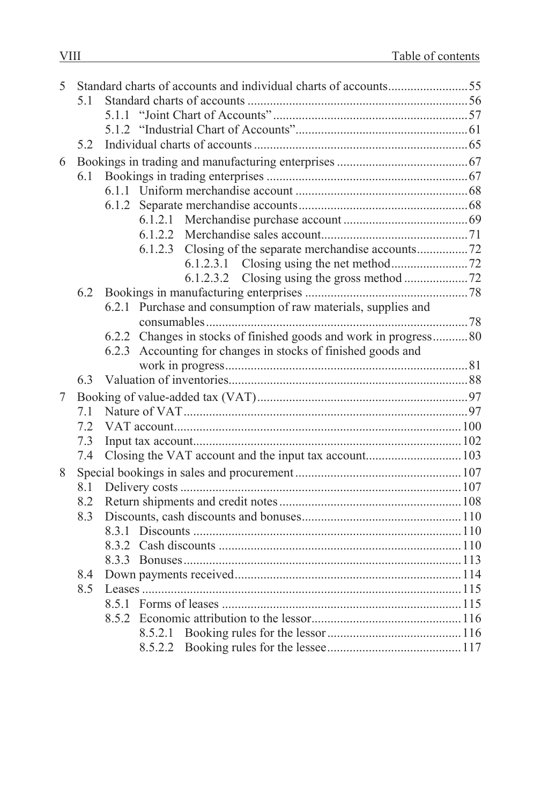| 5 |     |                                                                   |  |
|---|-----|-------------------------------------------------------------------|--|
|   | 5.1 |                                                                   |  |
|   |     | 5.1.1                                                             |  |
|   |     |                                                                   |  |
|   | 5.2 |                                                                   |  |
| 6 |     |                                                                   |  |
|   | 6.1 |                                                                   |  |
|   |     |                                                                   |  |
|   |     |                                                                   |  |
|   |     |                                                                   |  |
|   |     |                                                                   |  |
|   |     |                                                                   |  |
|   |     |                                                                   |  |
|   |     |                                                                   |  |
|   | 6.2 |                                                                   |  |
|   |     | 6.2.1 Purchase and consumption of raw materials, supplies and     |  |
|   |     |                                                                   |  |
|   |     | 6.2.2 Changes in stocks of finished goods and work in progress 80 |  |
|   |     | 6.2.3 Accounting for changes in stocks of finished goods and      |  |
|   |     |                                                                   |  |
|   | 6.3 |                                                                   |  |
| 7 |     |                                                                   |  |
|   | 7.1 |                                                                   |  |
|   | 7.2 |                                                                   |  |
|   | 7.3 |                                                                   |  |
|   | 7.4 |                                                                   |  |
| 8 |     |                                                                   |  |
|   | 8.1 |                                                                   |  |
|   | 8.2 |                                                                   |  |
|   | 8.3 |                                                                   |  |
|   |     |                                                                   |  |
|   |     |                                                                   |  |
|   |     |                                                                   |  |
|   | 8.4 |                                                                   |  |
|   | 8.5 |                                                                   |  |
|   |     |                                                                   |  |
|   |     |                                                                   |  |
|   |     |                                                                   |  |
|   |     |                                                                   |  |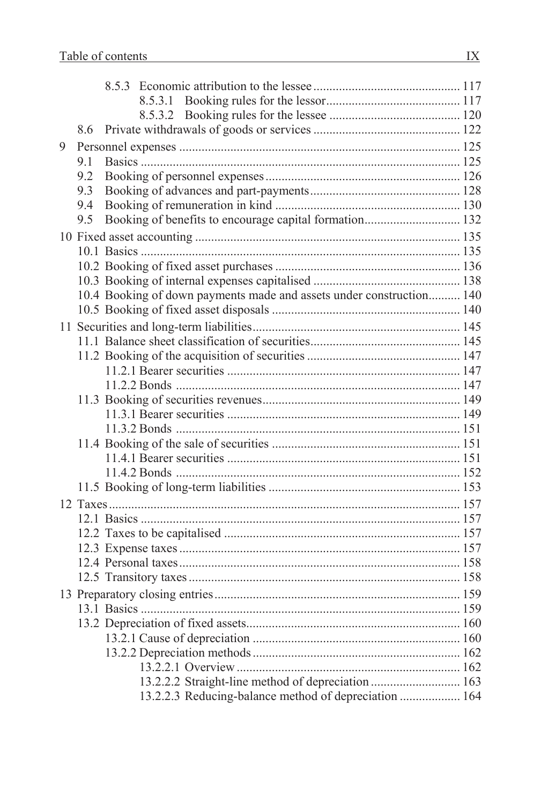|   | 8.6 |                                                                      |  |
|---|-----|----------------------------------------------------------------------|--|
| 9 |     |                                                                      |  |
|   | 9.1 |                                                                      |  |
|   | 9.2 |                                                                      |  |
|   | 9.3 |                                                                      |  |
|   | 9.4 |                                                                      |  |
|   | 9.5 | Booking of benefits to encourage capital formation 132               |  |
|   |     |                                                                      |  |
|   |     |                                                                      |  |
|   |     |                                                                      |  |
|   |     |                                                                      |  |
|   |     | 10.4 Booking of down payments made and assets under construction 140 |  |
|   |     |                                                                      |  |
|   |     |                                                                      |  |
|   |     |                                                                      |  |
|   |     |                                                                      |  |
|   |     |                                                                      |  |
|   |     |                                                                      |  |
|   |     |                                                                      |  |
|   |     |                                                                      |  |
|   |     |                                                                      |  |
|   |     |                                                                      |  |
|   |     |                                                                      |  |
|   |     |                                                                      |  |
|   |     |                                                                      |  |
|   |     |                                                                      |  |
|   |     |                                                                      |  |
|   |     |                                                                      |  |
|   |     |                                                                      |  |
|   |     |                                                                      |  |
|   |     |                                                                      |  |
|   |     |                                                                      |  |
|   |     |                                                                      |  |
|   |     |                                                                      |  |
|   |     |                                                                      |  |
|   |     |                                                                      |  |
|   |     | 13.2.2.2 Straight-line method of depreciation  163                   |  |
|   |     | 13.2.2.3 Reducing-balance method of depreciation  164                |  |
|   |     |                                                                      |  |